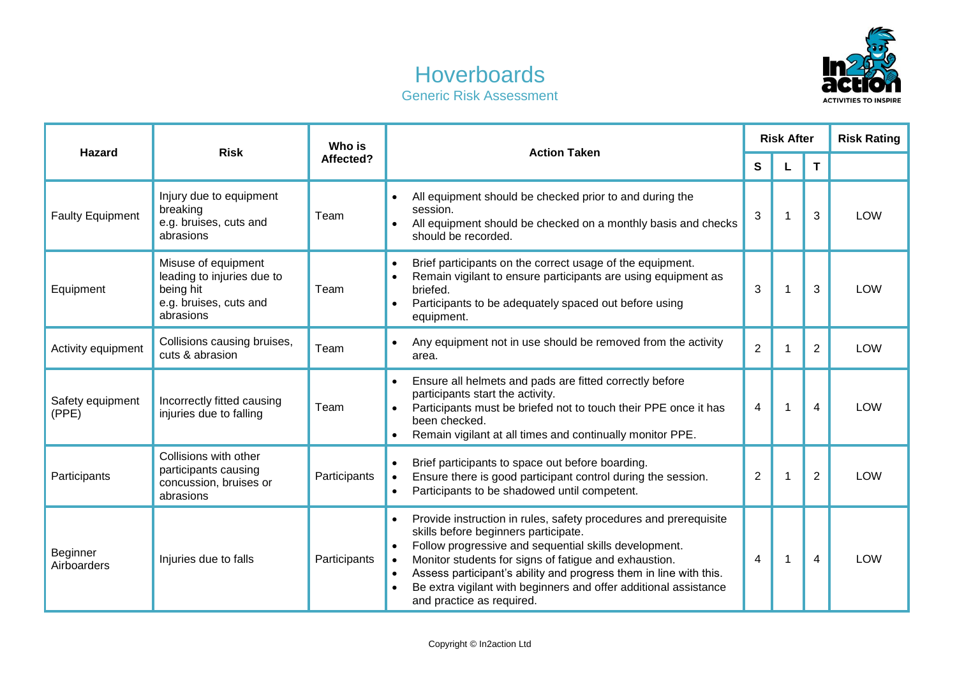

## **Hoverboards** Generic Risk Assessment

| <b>Hazard</b>             | <b>Risk</b>                                                                                           | Who is<br>Affected? | <b>Action Taken</b>                                                                                                                                                                                                                                                                                                                                                                                                                                  | <b>Risk After</b> |              |                         | <b>Risk Rating</b> |
|---------------------------|-------------------------------------------------------------------------------------------------------|---------------------|------------------------------------------------------------------------------------------------------------------------------------------------------------------------------------------------------------------------------------------------------------------------------------------------------------------------------------------------------------------------------------------------------------------------------------------------------|-------------------|--------------|-------------------------|--------------------|
|                           |                                                                                                       |                     |                                                                                                                                                                                                                                                                                                                                                                                                                                                      | S                 | L            | $\mathbf{T}$            |                    |
| <b>Faulty Equipment</b>   | Injury due to equipment<br>breaking<br>e.g. bruises, cuts and<br>abrasions                            | Team                | All equipment should be checked prior to and during the<br>session.<br>All equipment should be checked on a monthly basis and checks<br>should be recorded.                                                                                                                                                                                                                                                                                          | 3                 | 1            | 3                       | LOW                |
| Equipment                 | Misuse of equipment<br>leading to injuries due to<br>being hit<br>e.g. bruises, cuts and<br>abrasions | Team                | Brief participants on the correct usage of the equipment.<br>$\bullet$<br>Remain vigilant to ensure participants are using equipment as<br>briefed.<br>Participants to be adequately spaced out before using<br>$\bullet$<br>equipment.                                                                                                                                                                                                              | 3                 | 1            | 3                       | <b>LOW</b>         |
| Activity equipment        | Collisions causing bruises,<br>cuts & abrasion                                                        | Team                | Any equipment not in use should be removed from the activity<br>area.                                                                                                                                                                                                                                                                                                                                                                                | $\overline{2}$    | 1            | $\overline{2}$          | <b>LOW</b>         |
| Safety equipment<br>(PPE) | Incorrectly fitted causing<br>injuries due to falling                                                 | Team                | Ensure all helmets and pads are fitted correctly before<br>$\bullet$<br>participants start the activity.<br>Participants must be briefed not to touch their PPE once it has<br>$\bullet$<br>been checked.<br>Remain vigilant at all times and continually monitor PPE.                                                                                                                                                                               | 4                 | $\mathbf{1}$ | $\overline{\mathbf{A}}$ | <b>LOW</b>         |
| Participants              | Collisions with other<br>participants causing<br>concussion, bruises or<br>abrasions                  | Participants        | Brief participants to space out before boarding.<br>$\bullet$<br>Ensure there is good participant control during the session.<br>$\bullet$<br>Participants to be shadowed until competent.<br>$\bullet$                                                                                                                                                                                                                                              | $\overline{2}$    | $\mathbf 1$  | $\overline{2}$          | LOW                |
| Beginner<br>Airboarders   | Injuries due to falls                                                                                 | Participants        | Provide instruction in rules, safety procedures and prerequisite<br>$\bullet$<br>skills before beginners participate.<br>Follow progressive and sequential skills development.<br>$\bullet$<br>Monitor students for signs of fatigue and exhaustion.<br>$\bullet$<br>Assess participant's ability and progress them in line with this.<br>$\bullet$<br>Be extra vigilant with beginners and offer additional assistance<br>and practice as required. | 4                 | $\mathbf{1}$ | $\overline{\mathbf{A}}$ | <b>LOW</b>         |